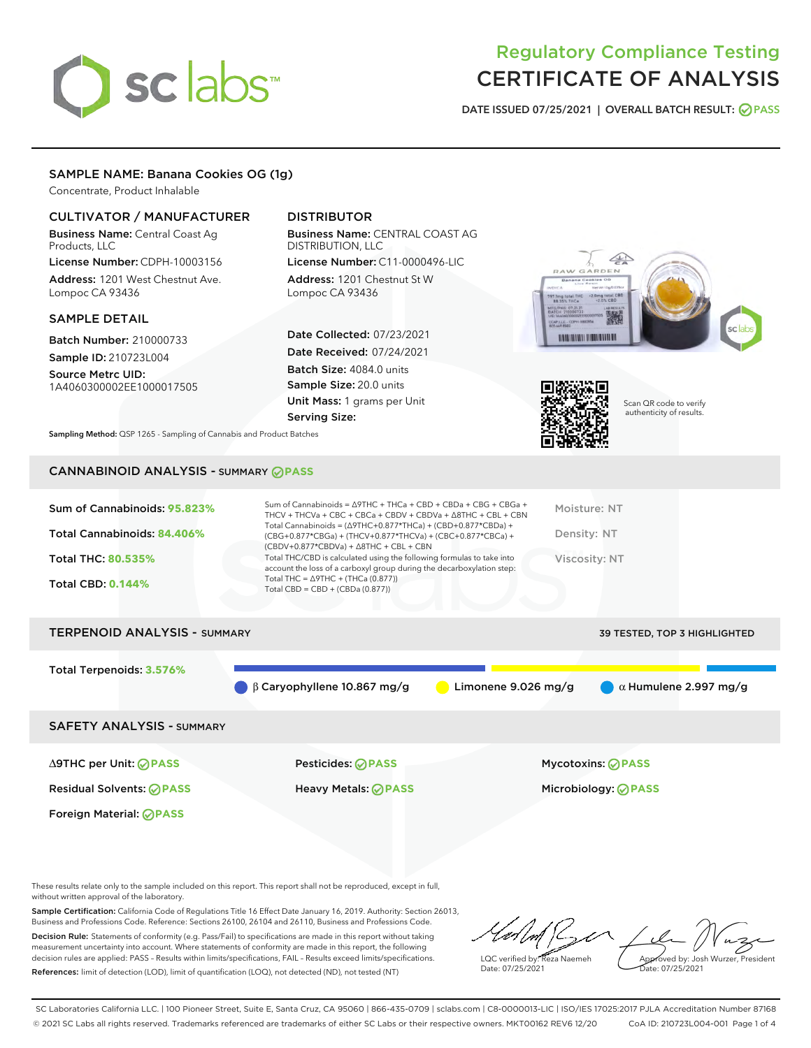# sclabs<sup>\*</sup>

# Regulatory Compliance Testing CERTIFICATE OF ANALYSIS

DATE ISSUED 07/25/2021 | OVERALL BATCH RESULT: @ PASS

# SAMPLE NAME: Banana Cookies OG (1g)

Concentrate, Product Inhalable

# CULTIVATOR / MANUFACTURER

Business Name: Central Coast Ag Products, LLC

License Number: CDPH-10003156 Address: 1201 West Chestnut Ave. Lompoc CA 93436

#### SAMPLE DETAIL

Batch Number: 210000733

Sample ID: 210723L004 Source Metrc UID:

1A4060300002EE1000017505

# DISTRIBUTOR

Business Name: CENTRAL COAST AG DISTRIBUTION, LLC

License Number: C11-0000496-LIC Address: 1201 Chestnut St W Lompoc CA 93436

Date Collected: 07/23/2021 Date Received: 07/24/2021 Batch Size: 4084.0 units Sample Size: 20.0 units Unit Mass: 1 grams per Unit Serving Size:





Scan QR code to verify authenticity of results.

Sampling Method: QSP 1265 - Sampling of Cannabis and Product Batches

# CANNABINOID ANALYSIS - SUMMARY **PASS**

| account the loss of a carboxyl group during the decarboxylation step:<br>Total THC = $\triangle$ 9THC + (THCa (0.877))<br><b>Total CBD: 0.144%</b><br>Total CBD = $CBD + (CBDa (0.877))$ | Sum of Cannabinoids: 95.823%<br>Total Cannabinoids: 84.406% | Sum of Cannabinoids = $\triangle$ 9THC + THCa + CBD + CBDa + CBG + CBGa +<br>THCV + THCVa + CBC + CBCa + CBDV + CBDVa + $\Delta$ 8THC + CBL + CBN<br>Total Cannabinoids = $(\Delta$ 9THC+0.877*THCa) + (CBD+0.877*CBDa) +<br>(CBG+0.877*CBGa) + (THCV+0.877*THCVa) + (CBC+0.877*CBCa) +<br>$(CBDV+0.877*CBDVa) + \Delta 8THC + CBL + CBN$ | Moisture: NT<br>Density: NT |
|------------------------------------------------------------------------------------------------------------------------------------------------------------------------------------------|-------------------------------------------------------------|-------------------------------------------------------------------------------------------------------------------------------------------------------------------------------------------------------------------------------------------------------------------------------------------------------------------------------------------|-----------------------------|
|                                                                                                                                                                                          | Total THC: 80.535%                                          | Total THC/CBD is calculated using the following formulas to take into                                                                                                                                                                                                                                                                     | Viscosity: NT               |

# TERPENOID ANALYSIS - SUMMARY 39 TESTED, TOP 3 HIGHLIGHTED Total Terpenoids: **3.576%** β Caryophyllene 10.867 mg/g Limonene 9.026 mg/g α Humulene 2.997 mg/g SAFETY ANALYSIS - SUMMARY ∆9THC per Unit: **PASS** Pesticides: **PASS** Mycotoxins: **PASS**

Foreign Material: **PASS**

Residual Solvents: **PASS** Heavy Metals: **PASS** Microbiology: **PASS**

These results relate only to the sample included on this report. This report shall not be reproduced, except in full, without written approval of the laboratory.

Sample Certification: California Code of Regulations Title 16 Effect Date January 16, 2019. Authority: Section 26013, Business and Professions Code. Reference: Sections 26100, 26104 and 26110, Business and Professions Code. Decision Rule: Statements of conformity (e.g. Pass/Fail) to specifications are made in this report without taking measurement uncertainty into account. Where statements of conformity are made in this report, the following decision rules are applied: PASS – Results within limits/specifications, FAIL – Results exceed limits/specifications.

References: limit of detection (LOD), limit of quantification (LOQ), not detected (ND), not tested (NT)

LQC verified by: Reza Naemeh Date: 07/25/2021 Approved by: Josh Wurzer, President Date: 07/25/2021

SC Laboratories California LLC. | 100 Pioneer Street, Suite E, Santa Cruz, CA 95060 | 866-435-0709 | sclabs.com | C8-0000013-LIC | ISO/IES 17025:2017 PJLA Accreditation Number 87168 © 2021 SC Labs all rights reserved. Trademarks referenced are trademarks of either SC Labs or their respective owners. MKT00162 REV6 12/20 CoA ID: 210723L004-001 Page 1 of 4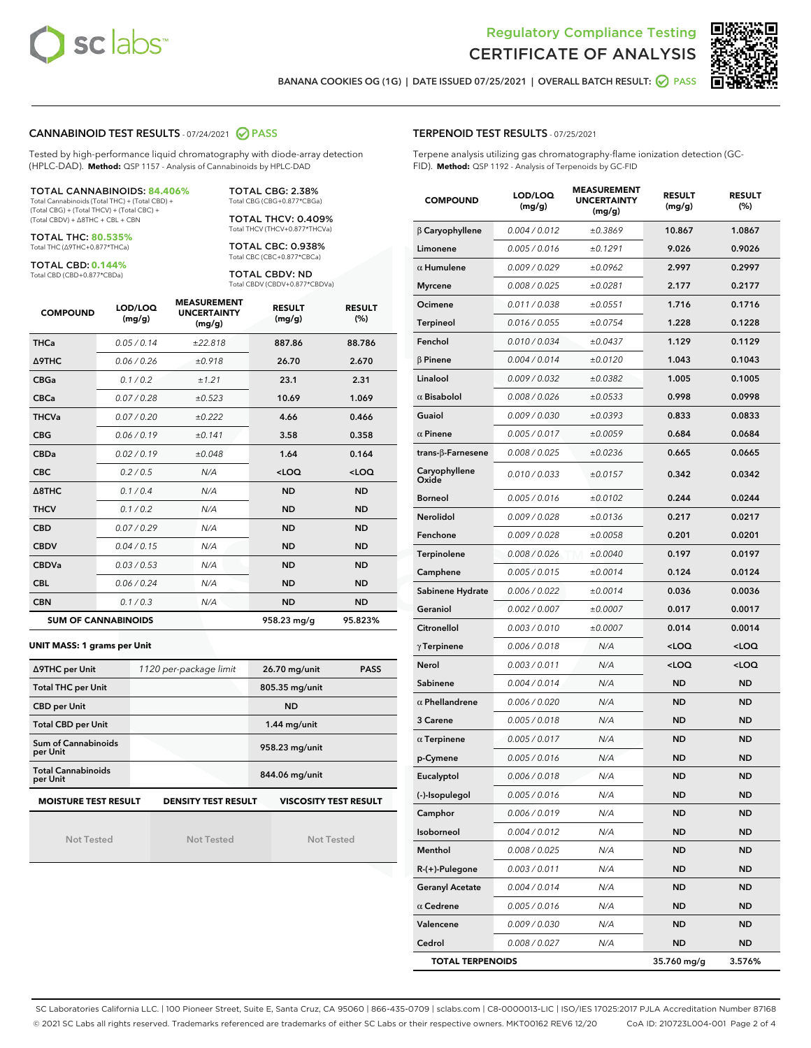



BANANA COOKIES OG (1G) | DATE ISSUED 07/25/2021 | OVERALL BATCH RESULT:  $\bigcirc$  PASS

#### CANNABINOID TEST RESULTS - 07/24/2021 2 PASS

Tested by high-performance liquid chromatography with diode-array detection (HPLC-DAD). **Method:** QSP 1157 - Analysis of Cannabinoids by HPLC-DAD

#### TOTAL CANNABINOIDS: **84.406%** Total Cannabinoids (Total THC) + (Total CBD) +

(Total CBG) + (Total THCV) + (Total CBC) + (Total CBDV) + ∆8THC + CBL + CBN

TOTAL THC: **80.535%** Total THC (∆9THC+0.877\*THCa)

TOTAL CBD: **0.144%**

Total CBD (CBD+0.877\*CBDa)

TOTAL CBG: 2.38% Total CBG (CBG+0.877\*CBGa)

TOTAL THCV: 0.409% Total THCV (THCV+0.877\*THCVa)

TOTAL CBC: 0.938% Total CBC (CBC+0.877\*CBCa)

TOTAL CBDV: ND Total CBDV (CBDV+0.877\*CBDVa)

| <b>COMPOUND</b> | LOD/LOQ<br>(mg/g)          | <b>MEASUREMENT</b><br><b>UNCERTAINTY</b><br>(mg/g) | <b>RESULT</b><br>(mg/g) | <b>RESULT</b><br>(%) |
|-----------------|----------------------------|----------------------------------------------------|-------------------------|----------------------|
| <b>THCa</b>     | 0.05 / 0.14                | ±22.818                                            | 887.86                  | 88.786               |
| <b>A9THC</b>    | 0.06 / 0.26                | ±0.918                                             | 26.70                   | 2.670                |
| <b>CBGa</b>     | 0.1 / 0.2                  | ±1.21                                              | 23.1                    | 2.31                 |
| <b>CBCa</b>     | 0.07/0.28                  | ±0.523                                             | 10.69                   | 1.069                |
| <b>THCVa</b>    | 0.07/0.20                  | ±0.222                                             | 4.66                    | 0.466                |
| <b>CBG</b>      | 0.06/0.19                  | ±0.141                                             | 3.58                    | 0.358                |
| <b>CBDa</b>     | 0.02/0.19                  | ±0.048                                             | 1.64                    | 0.164                |
| <b>CBC</b>      | 0.2 / 0.5                  | N/A                                                | $<$ LOQ                 | $<$ LOQ              |
| A8THC           | 0.1/0.4                    | N/A                                                | <b>ND</b>               | <b>ND</b>            |
| <b>THCV</b>     | 0.1/0.2                    | N/A                                                | <b>ND</b>               | <b>ND</b>            |
| <b>CBD</b>      | 0.07/0.29                  | N/A                                                | <b>ND</b>               | <b>ND</b>            |
| <b>CBDV</b>     | 0.04 / 0.15                | N/A                                                | <b>ND</b>               | <b>ND</b>            |
| <b>CBDVa</b>    | 0.03/0.53                  | N/A                                                | <b>ND</b>               | <b>ND</b>            |
| <b>CBL</b>      | 0.06 / 0.24                | N/A                                                | <b>ND</b>               | <b>ND</b>            |
| <b>CBN</b>      | 0.1/0.3                    | N/A                                                | <b>ND</b>               | <b>ND</b>            |
|                 | <b>SUM OF CANNABINOIDS</b> |                                                    | 958.23 mg/g             | 95.823%              |

#### **UNIT MASS: 1 grams per Unit**

| ∆9THC per Unit                        | 1120 per-package limit     | 26.70 mg/unit<br><b>PASS</b> |
|---------------------------------------|----------------------------|------------------------------|
| <b>Total THC per Unit</b>             |                            | 805.35 mg/unit               |
| <b>CBD per Unit</b>                   |                            | <b>ND</b>                    |
| <b>Total CBD per Unit</b>             |                            | $1.44$ mg/unit               |
| Sum of Cannabinoids<br>per Unit       |                            | 958.23 mg/unit               |
| <b>Total Cannabinoids</b><br>per Unit |                            | 844.06 mg/unit               |
| <b>MOISTURE TEST RESULT</b>           | <b>DENSITY TEST RESULT</b> | <b>VISCOSITY TEST RESULT</b> |

Not Tested

Not Tested

Not Tested

#### TERPENOID TEST RESULTS - 07/25/2021

Terpene analysis utilizing gas chromatography-flame ionization detection (GC-FID). **Method:** QSP 1192 - Analysis of Terpenoids by GC-FID

| <b>COMPOUND</b>           | LOD/LOQ<br>(mg/g) | <b>MEASUREMENT</b><br><b>UNCERTAINTY</b><br>(mg/g) | <b>RESULT</b><br>(mg/g)                          | <b>RESULT</b><br>(%) |
|---------------------------|-------------------|----------------------------------------------------|--------------------------------------------------|----------------------|
| $\beta$ Caryophyllene     | 0.004 / 0.012     | ±0.3869                                            | 10.867                                           | 1.0867               |
| Limonene                  | 0.005 / 0.016     | ±0.1291                                            | 9.026                                            | 0.9026               |
| $\alpha$ Humulene         | 0.009 / 0.029     | ±0.0962                                            | 2.997                                            | 0.2997               |
| <b>Myrcene</b>            | 0.008 / 0.025     | ±0.0281                                            | 2.177                                            | 0.2177               |
| Ocimene                   | 0.011 / 0.038     | ±0.0551                                            | 1.716                                            | 0.1716               |
| <b>Terpineol</b>          | 0.016 / 0.055     | ±0.0754                                            | 1.228                                            | 0.1228               |
| Fenchol                   | 0.010 / 0.034     | ±0.0437                                            | 1.129                                            | 0.1129               |
| $\beta$ Pinene            | 0.004 / 0.014     | ±0.0120                                            | 1.043                                            | 0.1043               |
| Linalool                  | 0.009 / 0.032     | ±0.0382                                            | 1.005                                            | 0.1005               |
| $\alpha$ Bisabolol        | 0.008 / 0.026     | ±0.0533                                            | 0.998                                            | 0.0998               |
| Guaiol                    | 0.009 / 0.030     | ±0.0393                                            | 0.833                                            | 0.0833               |
| $\alpha$ Pinene           | 0.005 / 0.017     | ±0.0059                                            | 0.684                                            | 0.0684               |
| trans- $\beta$ -Farnesene | 0.008 / 0.025     | ±0.0236                                            | 0.665                                            | 0.0665               |
| Caryophyllene<br>Oxide    | 0.010 / 0.033     | ±0.0157                                            | 0.342                                            | 0.0342               |
| <b>Borneol</b>            | 0.005 / 0.016     | ±0.0102                                            | 0.244                                            | 0.0244               |
| <b>Nerolidol</b>          | 0.009 / 0.028     | ±0.0136                                            | 0.217                                            | 0.0217               |
| Fenchone                  | 0.009 / 0.028     | ±0.0058                                            | 0.201                                            | 0.0201               |
| Terpinolene               | 0.008 / 0.026     | ±0.0040                                            | 0.197                                            | 0.0197               |
| Camphene                  | 0.005 / 0.015     | ±0.0014                                            | 0.124                                            | 0.0124               |
| Sabinene Hydrate          | 0.006 / 0.022     | ±0.0014                                            | 0.036                                            | 0.0036               |
| Geraniol                  | 0.002 / 0.007     | ±0.0007                                            | 0.017                                            | 0.0017               |
| Citronellol               | 0.003 / 0.010     | ±0.0007                                            | 0.014                                            | 0.0014               |
| $\gamma$ Terpinene        | 0.006 / 0.018     | N/A                                                | <loq< th=""><th><loq< th=""></loq<></th></loq<>  | <loq< th=""></loq<>  |
| Nerol                     | 0.003 / 0.011     | N/A                                                | <loq< th=""><th><math>&lt;</math>LOQ</th></loq<> | $<$ LOQ              |
| Sabinene                  | 0.004 / 0.014     | N/A                                                | <b>ND</b>                                        | <b>ND</b>            |
| $\alpha$ Phellandrene     | 0.006 / 0.020     | N/A                                                | <b>ND</b>                                        | ND                   |
| 3 Carene                  | 0.005 / 0.018     | N/A                                                | <b>ND</b>                                        | <b>ND</b>            |
| $\alpha$ Terpinene        | 0.005 / 0.017     | N/A                                                | <b>ND</b>                                        | <b>ND</b>            |
| p-Cymene                  | 0.005 / 0.016     | N/A                                                | ND                                               | ND                   |
| Eucalyptol                | 0.006 / 0.018     | N/A                                                | ND                                               | ND                   |
| (-)-Isopulegol            | 0.005 / 0.016     | N/A                                                | ND                                               | ND                   |
| Camphor                   | 0.006 / 0.019     | N/A                                                | ND                                               | <b>ND</b>            |
| Isoborneol                | 0.004 / 0.012     | N/A                                                | ND                                               | <b>ND</b>            |
| Menthol                   | 0.008 / 0.025     | N/A                                                | ND                                               | <b>ND</b>            |
| $R-(+)$ -Pulegone         | 0.003 / 0.011     | N/A                                                | ND                                               | ND                   |
| <b>Geranyl Acetate</b>    | 0.004 / 0.014     | N/A                                                | ND                                               | ND                   |
| $\alpha$ Cedrene          | 0.005 / 0.016     | N/A                                                | ND                                               | ND                   |
| Valencene                 | 0.009 / 0.030     | N/A                                                | ND                                               | <b>ND</b>            |
| Cedrol                    | 0.008 / 0.027     | N/A                                                | <b>ND</b>                                        | ND                   |
| <b>TOTAL TERPENOIDS</b>   |                   |                                                    | 35.760 mg/g                                      | 3.576%               |

SC Laboratories California LLC. | 100 Pioneer Street, Suite E, Santa Cruz, CA 95060 | 866-435-0709 | sclabs.com | C8-0000013-LIC | ISO/IES 17025:2017 PJLA Accreditation Number 87168 © 2021 SC Labs all rights reserved. Trademarks referenced are trademarks of either SC Labs or their respective owners. MKT00162 REV6 12/20 CoA ID: 210723L004-001 Page 2 of 4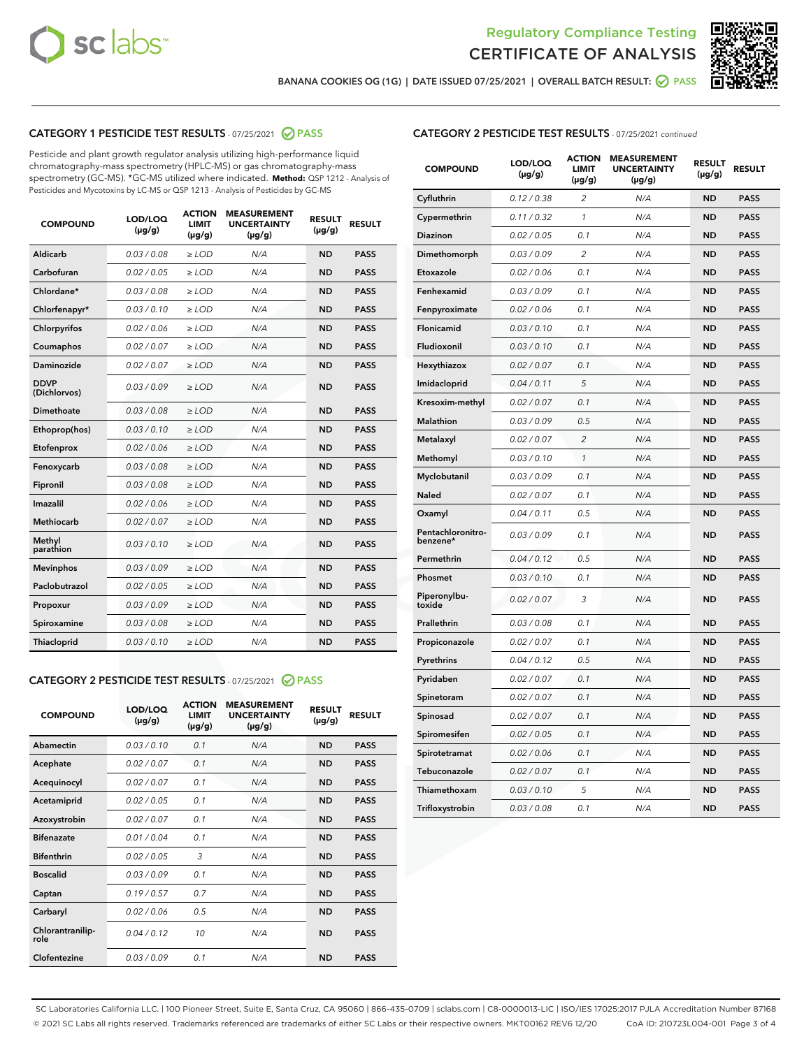



BANANA COOKIES OG (1G) | DATE ISSUED 07/25/2021 | OVERALL BATCH RESULT: @ PASS

### CATEGORY 1 PESTICIDE TEST RESULTS - 07/25/2021 @ PASS

Pesticide and plant growth regulator analysis utilizing high-performance liquid chromatography-mass spectrometry (HPLC-MS) or gas chromatography-mass spectrometry (GC-MS). \*GC-MS utilized where indicated. **Method:** QSP 1212 - Analysis of Pesticides and Mycotoxins by LC-MS or QSP 1213 - Analysis of Pesticides by GC-MS

| <b>COMPOUND</b>             | LOD/LOQ<br>$(\mu g/g)$ | <b>ACTION</b><br><b>LIMIT</b><br>$(\mu g/g)$ | <b>MEASUREMENT</b><br><b>UNCERTAINTY</b><br>$(\mu g/g)$ | <b>RESULT</b><br>$(\mu g/g)$ | <b>RESULT</b> |
|-----------------------------|------------------------|----------------------------------------------|---------------------------------------------------------|------------------------------|---------------|
| Aldicarb                    | 0.03 / 0.08            | $\geq$ LOD                                   | N/A                                                     | <b>ND</b>                    | <b>PASS</b>   |
| Carbofuran                  | 0.02 / 0.05            | $>$ LOD                                      | N/A                                                     | <b>ND</b>                    | <b>PASS</b>   |
| Chlordane*                  | 0.03 / 0.08            | $\ge$ LOD                                    | N/A                                                     | <b>ND</b>                    | <b>PASS</b>   |
| Chlorfenapyr*               | 0.03/0.10              | $>$ LOD                                      | N/A                                                     | <b>ND</b>                    | <b>PASS</b>   |
| Chlorpyrifos                | 0.02 / 0.06            | ≥ LOD                                        | N/A                                                     | <b>ND</b>                    | <b>PASS</b>   |
| Coumaphos                   | 0.02 / 0.07            | $\ge$ LOD                                    | N/A                                                     | <b>ND</b>                    | <b>PASS</b>   |
| Daminozide                  | 0.02 / 0.07            | $\geq$ LOD                                   | N/A                                                     | <b>ND</b>                    | <b>PASS</b>   |
| <b>DDVP</b><br>(Dichlorvos) | 0.03/0.09              | $\geq$ LOD                                   | N/A                                                     | <b>ND</b>                    | <b>PASS</b>   |
| Dimethoate                  | 0.03 / 0.08            | $>$ LOD                                      | N/A                                                     | <b>ND</b>                    | <b>PASS</b>   |
| Ethoprop(hos)               | 0.03/0.10              | $\ge$ LOD                                    | N/A                                                     | <b>ND</b>                    | <b>PASS</b>   |
| Etofenprox                  | 0.02 / 0.06            | $>$ LOD                                      | N/A                                                     | <b>ND</b>                    | <b>PASS</b>   |
| Fenoxycarb                  | 0.03 / 0.08            | $\geq$ LOD                                   | N/A                                                     | <b>ND</b>                    | <b>PASS</b>   |
| Fipronil                    | 0.03/0.08              | $>$ LOD                                      | N/A                                                     | <b>ND</b>                    | <b>PASS</b>   |
| Imazalil                    | 0.02 / 0.06            | $\geq$ LOD                                   | N/A                                                     | <b>ND</b>                    | <b>PASS</b>   |
| <b>Methiocarb</b>           | 0.02 / 0.07            | $\ge$ LOD                                    | N/A                                                     | <b>ND</b>                    | <b>PASS</b>   |
| Methyl<br>parathion         | 0.03/0.10              | $\geq$ LOD                                   | N/A                                                     | <b>ND</b>                    | <b>PASS</b>   |
| <b>Mevinphos</b>            | 0.03/0.09              | $>$ LOD                                      | N/A                                                     | <b>ND</b>                    | <b>PASS</b>   |
| Paclobutrazol               | 0.02 / 0.05            | $\geq$ LOD                                   | N/A                                                     | <b>ND</b>                    | <b>PASS</b>   |
| Propoxur                    | 0.03/0.09              | $\ge$ LOD                                    | N/A                                                     | <b>ND</b>                    | <b>PASS</b>   |
| Spiroxamine                 | 0.03 / 0.08            | $\ge$ LOD                                    | N/A                                                     | <b>ND</b>                    | <b>PASS</b>   |
| Thiacloprid                 | 0.03/0.10              | $\geq$ LOD                                   | N/A                                                     | <b>ND</b>                    | <b>PASS</b>   |

#### CATEGORY 2 PESTICIDE TEST RESULTS - 07/25/2021 @ PASS

| <b>COMPOUND</b>          | LOD/LOQ<br>$(\mu g/g)$ | <b>ACTION</b><br><b>LIMIT</b><br>$(\mu g/g)$ | <b>MEASUREMENT</b><br><b>UNCERTAINTY</b><br>$(\mu g/g)$ | <b>RESULT</b><br>$(\mu g/g)$ | <b>RESULT</b> |
|--------------------------|------------------------|----------------------------------------------|---------------------------------------------------------|------------------------------|---------------|
| Abamectin                | 0.03/0.10              | 0.1                                          | N/A                                                     | <b>ND</b>                    | <b>PASS</b>   |
| Acephate                 | 0.02/0.07              | 0.1                                          | N/A                                                     | <b>ND</b>                    | <b>PASS</b>   |
| Acequinocyl              | 0.02/0.07              | 0.1                                          | N/A                                                     | <b>ND</b>                    | <b>PASS</b>   |
| Acetamiprid              | 0.02/0.05              | 0.1                                          | N/A                                                     | <b>ND</b>                    | <b>PASS</b>   |
| Azoxystrobin             | 0.02/0.07              | 0.1                                          | N/A                                                     | <b>ND</b>                    | <b>PASS</b>   |
| <b>Bifenazate</b>        | 0.01/0.04              | 0.1                                          | N/A                                                     | <b>ND</b>                    | <b>PASS</b>   |
| <b>Bifenthrin</b>        | 0.02 / 0.05            | 3                                            | N/A                                                     | <b>ND</b>                    | <b>PASS</b>   |
| <b>Boscalid</b>          | 0.03/0.09              | 0.1                                          | N/A                                                     | <b>ND</b>                    | <b>PASS</b>   |
| Captan                   | 0.19/0.57              | 0.7                                          | N/A                                                     | <b>ND</b>                    | <b>PASS</b>   |
| Carbaryl                 | 0.02/0.06              | 0.5                                          | N/A                                                     | <b>ND</b>                    | <b>PASS</b>   |
| Chlorantranilip-<br>role | 0.04/0.12              | 10                                           | N/A                                                     | <b>ND</b>                    | <b>PASS</b>   |
| Clofentezine             | 0.03/0.09              | 0.1                                          | N/A                                                     | <b>ND</b>                    | <b>PASS</b>   |

# CATEGORY 2 PESTICIDE TEST RESULTS - 07/25/2021 continued

| <b>COMPOUND</b>               | LOD/LOQ<br>(µg/g) | <b>ACTION</b><br>LIMIT<br>$(\mu g/g)$ | <b>MEASUREMENT</b><br><b>UNCERTAINTY</b><br>(µg/g) | <b>RESULT</b><br>(µg/g) | <b>RESULT</b> |
|-------------------------------|-------------------|---------------------------------------|----------------------------------------------------|-------------------------|---------------|
| Cyfluthrin                    | 0.12 / 0.38       | 2                                     | N/A                                                | ND                      | <b>PASS</b>   |
| Cypermethrin                  | 0.11 / 0.32       | 1                                     | N/A                                                | ND                      | PASS          |
| Diazinon                      | 0.02 / 0.05       | 0.1                                   | N/A                                                | ND                      | PASS          |
| Dimethomorph                  | 0.03 / 0.09       | 2                                     | N/A                                                | <b>ND</b>               | <b>PASS</b>   |
| Etoxazole                     | 0.02 / 0.06       | 0.1                                   | N/A                                                | ND                      | <b>PASS</b>   |
| Fenhexamid                    | 0.03 / 0.09       | 0.1                                   | N/A                                                | ND                      | <b>PASS</b>   |
| Fenpyroximate                 | 0.02 / 0.06       | 0.1                                   | N/A                                                | <b>ND</b>               | <b>PASS</b>   |
| Flonicamid                    | 0.03 / 0.10       | 0.1                                   | N/A                                                | <b>ND</b>               | <b>PASS</b>   |
| Fludioxonil                   | 0.03 / 0.10       | 0.1                                   | N/A                                                | <b>ND</b>               | <b>PASS</b>   |
| Hexythiazox                   | 0.02 / 0.07       | 0.1                                   | N/A                                                | <b>ND</b>               | PASS          |
| Imidacloprid                  | 0.04 / 0.11       | 5                                     | N/A                                                | <b>ND</b>               | <b>PASS</b>   |
| Kresoxim-methyl               | 0.02 / 0.07       | 0.1                                   | N/A                                                | ND                      | <b>PASS</b>   |
| Malathion                     | 0.03 / 0.09       | 0.5                                   | N/A                                                | <b>ND</b>               | <b>PASS</b>   |
| Metalaxyl                     | 0.02 / 0.07       | $\overline{c}$                        | N/A                                                | <b>ND</b>               | <b>PASS</b>   |
| Methomyl                      | 0.03 / 0.10       | 1                                     | N/A                                                | ND                      | <b>PASS</b>   |
| Myclobutanil                  | 0.03/0.09         | 0.1                                   | N/A                                                | <b>ND</b>               | <b>PASS</b>   |
| Naled                         | 0.02 / 0.07       | 0.1                                   | N/A                                                | ND                      | <b>PASS</b>   |
| Oxamyl                        | 0.04 / 0.11       | 0.5                                   | N/A                                                | ND                      | <b>PASS</b>   |
| Pentachloronitro-<br>benzene* | 0.03 / 0.09       | 0.1                                   | N/A                                                | ND                      | <b>PASS</b>   |
| Permethrin                    | 0.04/0.12         | 0.5                                   | N/A                                                | <b>ND</b>               | <b>PASS</b>   |
| Phosmet                       | 0.03 / 0.10       | 0.1                                   | N/A                                                | ND                      | <b>PASS</b>   |
| Piperonylbu-<br>toxide        | 0.02 / 0.07       | 3                                     | N/A                                                | <b>ND</b>               | <b>PASS</b>   |
| Prallethrin                   | 0.03 / 0.08       | 0.1                                   | N/A                                                | <b>ND</b>               | <b>PASS</b>   |
| Propiconazole                 | 0.02 / 0.07       | 0.1                                   | N/A                                                | ND                      | <b>PASS</b>   |
| Pyrethrins                    | 0.04 / 0.12       | 0.5                                   | N/A                                                | ND                      | <b>PASS</b>   |
| Pyridaben                     | 0.02 / 0.07       | 0.1                                   | N/A                                                | <b>ND</b>               | <b>PASS</b>   |
| Spinetoram                    | 0.02 / 0.07       | 0.1                                   | N/A                                                | ND                      | <b>PASS</b>   |
| Spinosad                      | 0.02 / 0.07       | 0.1                                   | N/A                                                | ND                      | <b>PASS</b>   |
| Spiromesifen                  | 0.02 / 0.05       | 0.1                                   | N/A                                                | <b>ND</b>               | <b>PASS</b>   |
| Spirotetramat                 | 0.02 / 0.06       | 0.1                                   | N/A                                                | ND                      | <b>PASS</b>   |
| Tebuconazole                  | 0.02 / 0.07       | 0.1                                   | N/A                                                | ND                      | <b>PASS</b>   |
| Thiamethoxam                  | 0.03 / 0.10       | 5                                     | N/A                                                | <b>ND</b>               | <b>PASS</b>   |
| Trifloxystrobin               | 0.03 / 0.08       | 0.1                                   | N/A                                                | <b>ND</b>               | <b>PASS</b>   |

SC Laboratories California LLC. | 100 Pioneer Street, Suite E, Santa Cruz, CA 95060 | 866-435-0709 | sclabs.com | C8-0000013-LIC | ISO/IES 17025:2017 PJLA Accreditation Number 87168 © 2021 SC Labs all rights reserved. Trademarks referenced are trademarks of either SC Labs or their respective owners. MKT00162 REV6 12/20 CoA ID: 210723L004-001 Page 3 of 4